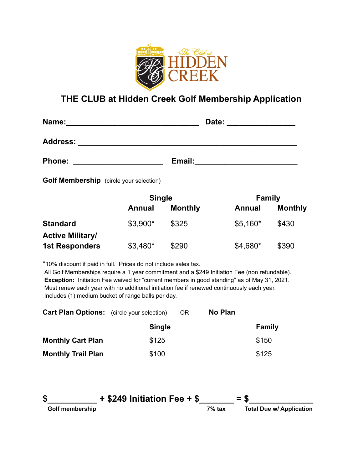

## **THE CLUB at Hidden Creek Golf Membership Application**

| Name:           | Date:  |
|-----------------|--------|
| <b>Address:</b> |        |
| <b>Phone:</b>   | Email: |

**Golf Membership** (circle your selection)

|                         | <b>Single</b> |                | <b>Family</b> |                |
|-------------------------|---------------|----------------|---------------|----------------|
|                         | Annual        | <b>Monthly</b> | <b>Annual</b> | <b>Monthly</b> |
| <b>Standard</b>         | $$3,900*$     | \$325          | $$5,160*$     | \$430          |
| <b>Active Military/</b> |               |                |               |                |
| <b>1st Responders</b>   | $$3,480*$     | \$290          | \$4,680*      | \$390          |

\*10% discount if paid in full. Prices do not include sales tax.

All Golf Memberships require a 1 year commitment and a \$249 Initiation Fee (non refundable). **Exception:** Initiation Fee waived for "current members in good standing" as of May 31, 2021. Must renew each year with no additional initiation fee if renewed continuously each year. Includes (1) medium bucket of range balls per day.

| <b>Cart Plan Options:</b> (circle your selection) |               | OR. | No Plan |               |
|---------------------------------------------------|---------------|-----|---------|---------------|
|                                                   | <b>Single</b> |     |         | <b>Family</b> |
| <b>Monthly Cart Plan</b>                          | \$125         |     |         | \$150         |
| <b>Monthly Trail Plan</b>                         | \$100         |     |         | \$125         |